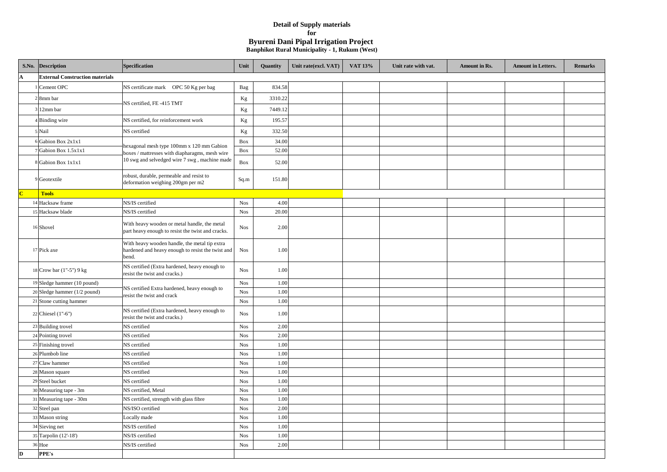|         | S.No. Description                      | Specification                                                                                               | Unit       | Quantity | Unit rate(excl. VAT) | VAT 13% | Unit rate with vat. | <b>Amount in Rs.</b> | <b>Amount in Letters.</b> | <b>Remarks</b> |
|---------|----------------------------------------|-------------------------------------------------------------------------------------------------------------|------------|----------|----------------------|---------|---------------------|----------------------|---------------------------|----------------|
| A       | <b>External Construction materials</b> |                                                                                                             |            |          |                      |         |                     |                      |                           |                |
|         | 1 Cement OPC                           | NS certificate mark OPC 50 Kg per bag                                                                       | Bag        | 834.58   |                      |         |                     |                      |                           |                |
|         | $2 \times$ 8mm bar                     | NS certified, FE-415 TMT                                                                                    | $\rm Kg$   | 3310.22  |                      |         |                     |                      |                           |                |
|         | $3 12$ mm bar                          |                                                                                                             | Kg         | 7449.12  |                      |         |                     |                      |                           |                |
|         | 4 Binding wire                         | NS certified, for reinforcement work                                                                        | Kg         | 195.57   |                      |         |                     |                      |                           |                |
|         | 5 Nail                                 | NS certified                                                                                                | Kg         | 332.50   |                      |         |                     |                      |                           |                |
|         | 6 Gabion Box 2x1x1                     |                                                                                                             | Box        | 34.00    |                      |         |                     |                      |                           |                |
|         | Gabion Box 1.5x1x1                     | hexagonal mesh type 100mm x 120 mm Gabion                                                                   | Box        | 52.00    |                      |         |                     |                      |                           |                |
|         | 8 Gabion Box 1x1x1                     | boxes / mattresses with diapharagms, mesh wire<br>10 swg and selvedged wire 7 swg, machine made             | Box        | 52.00    |                      |         |                     |                      |                           |                |
|         | 9 Geotextile                           | robust, durable, permeable and resist to<br>deformation weighing 200gm per m2                               | Sq.m       | 151.80   |                      |         |                     |                      |                           |                |
| $\bf C$ | <b>Tools</b>                           |                                                                                                             |            |          |                      |         |                     |                      |                           |                |
|         | 14 Hacksaw frame                       | NS/IS certified                                                                                             | <b>Nos</b> | 4.00     |                      |         |                     |                      |                           |                |
|         | 15 Hacksaw blade                       | NS/IS certified                                                                                             | <b>Nos</b> | 20.00    |                      |         |                     |                      |                           |                |
|         | 16 Shovel                              | With heavy wooden or metal handle, the metal<br>part heavy enough to resist the twist and cracks.           | <b>Nos</b> | 2.00     |                      |         |                     |                      |                           |                |
|         | 17 Pick axe                            | With heavy wooden handle, the metal tip extra<br>hardened and heavy enough to resist the twist and<br>bend. | <b>Nos</b> | 1.00     |                      |         |                     |                      |                           |                |
|         | 18 Crow bar (1"-5") 9 kg               | NS certified (Extra hardened, heavy enough to<br>resist the twist and cracks.)                              | <b>Nos</b> | 1.00     |                      |         |                     |                      |                           |                |
|         | 19 Sledge hammer (10 pound)            |                                                                                                             | <b>Nos</b> | 1.00     |                      |         |                     |                      |                           |                |
|         | $20$ Sledge hammer (1/2 pound)         | NS certified Extra hardened, heavy enough to<br>resist the twist and crack                                  | <b>Nos</b> | 1.00     |                      |         |                     |                      |                           |                |
|         | 21 Stone cutting hammer                |                                                                                                             | <b>Nos</b> | 1.00     |                      |         |                     |                      |                           |                |
|         | 22 Chiesel $(1 - 6)$                   | NS certified (Extra hardened, heavy enough to<br>resist the twist and cracks.)                              | <b>Nos</b> | 1.00     |                      |         |                     |                      |                           |                |
|         | 23 Building trovel                     | NS certified                                                                                                | <b>Nos</b> | 2.00     |                      |         |                     |                      |                           |                |
|         | 24 Pointing trovel                     | NS certified                                                                                                | <b>Nos</b> | 2.00     |                      |         |                     |                      |                           |                |
|         | $25$ Finishing trovel                  | NS certified                                                                                                | <b>Nos</b> | 1.00     |                      |         |                     |                      |                           |                |
|         | 26 Plumbob line                        | NS certified                                                                                                | <b>Nos</b> | 1.00     |                      |         |                     |                      |                           |                |
|         | 27 Claw hammer                         | NS certified                                                                                                | <b>Nos</b> | 1.00     |                      |         |                     |                      |                           |                |
|         | 28 Mason square                        | NS certified                                                                                                | <b>Nos</b> | 1.00     |                      |         |                     |                      |                           |                |
|         | 29 Steel bucket                        | NS certified                                                                                                | <b>Nos</b> | 1.00     |                      |         |                     |                      |                           |                |
|         | $30$ Measuring tape - 3m               | NS certified, Metal                                                                                         | <b>Nos</b> | 1.00     |                      |         |                     |                      |                           |                |
|         | 31 Measuring tape - 30m                | NS certified, strength with glass fibre                                                                     | <b>Nos</b> | 1.00     |                      |         |                     |                      |                           |                |
|         | 32 Steel pan                           | NS/ISO certified                                                                                            | <b>Nos</b> | 2.00     |                      |         |                     |                      |                           |                |
|         | 33 Mason string                        | Locally made                                                                                                | <b>Nos</b> | 1.00     |                      |         |                     |                      |                           |                |
|         | 34 Sieving net                         | NS/IS certified                                                                                             | <b>Nos</b> | 1.00     |                      |         |                     |                      |                           |                |
|         | 35 Tarpolin (12'-18')                  | NS/IS certified                                                                                             | <b>Nos</b> | 1.00     |                      |         |                     |                      |                           |                |
|         | 36 Hoe                                 | NS/IS certified                                                                                             | <b>Nos</b> | 2.00     |                      |         |                     |                      |                           |                |
| D       | PPE's                                  |                                                                                                             |            |          |                      |         |                     |                      |                           |                |

## **Detail of Supply materials for Byureni Dani Pipal Irrigation Project Banphikot Rural Municipality - 1, Rukum (West)**